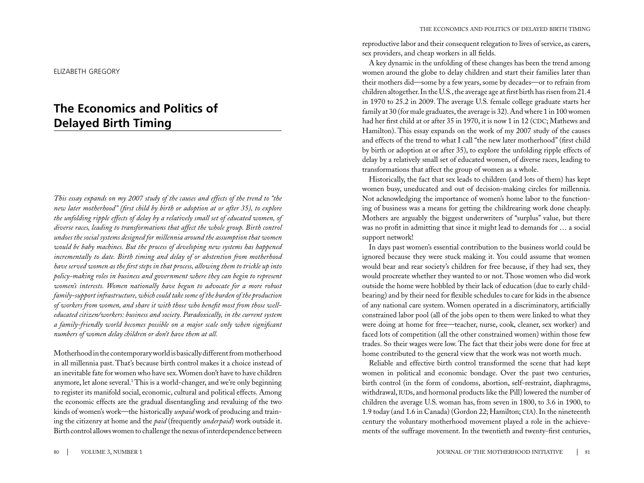#### elizabeth gregory

# **The Economics and Politics of Delayed Birth Timing**

*This essay expands on my 2007 study of the causes and effects of the trend to "the new later motherhood" (first child by birth or adoption at or after 35), to explore the unfolding ripple effects of delay by a relatively small set of educated women, of diverse races, leading to transformations that affect the whole group. Birth control undoes the social systems designed for millennia around the assumption that women would be baby machines. But the process of developing new systems has happened incrementally to date. Birth timing and delay of or abstention from motherhood have served women as the first steps in that process, allowing them to trickle up into policy-making roles in business and government where they can begin to represent women's interests. Women nationally have begun to advocate for a more robust family-support infrastructure, which could take some of the burden of the production of workers from women, and share it with those who benefit most from those welleducated citizen/workers: business and society. Paradoxically, in the current system a family-friendly world becomes possible on a major scale only when significant numbers of women delay children or don't have them at all.* 

Motherhood in the contemporary world is basically different from motherhood in all millennia past. That's because birth control makes it a choice instead of an inevitable fate for women who have sex. Women don't have to have children anymore, let alone several.<sup>1</sup> This is a world-changer, and we're only beginning to register its manifold social, economic, cultural and political effects. Among the economic effects are the gradual disentangling and revaluing of the two kinds of women's work—the historically *unpaid* work of producing and training the citizenry at home and the *paid* (frequently *underpaid*) work outside it. Birth control allows women to challenge the nexus of interdependence between

reproductive labor and their consequent relegation to lives of service, as carers, sex providers, and cheap workers in all fields.

A key dynamic in the unfolding of these changes has been the trend among women around the globe to delay children and start their families later than their mothers did—some by a few years, some by decades—or to refrain from children altogether. In the U.S., the average age at first birth has risen from 21.4 in 1970 to 25.2 in 2009. The average U.S. female college graduate starts her family at 30 (for male graduates, the average is 32). And where 1 in 100 women had her first child at or after 35 in 1970, it is now 1 in 12 (CDC; Mathews and Hamilton). This essay expands on the work of my 2007 study of the causes and effects of the trend to what I call "the new later motherhood" (first child by birth or adoption at or after 35), to explore the unfolding ripple effects of delay by a relatively small set of educated women, of diverse races, leading to transformations that affect the group of women as a whole.

Historically, the fact that sex leads to children (and lots of them) has kept women busy, uneducated and out of decision-making circles for millennia. Not acknowledging the importance of women's home labor to the functioning of business was a means for getting the childrearing work done cheaply. Mothers are arguably the biggest underwriters of "surplus" value, but there was no profit in admitting that since it might lead to demands for … a social support network!

In days past women's essential contribution to the business world could be ignored because they were stuck making it. You could assume that women would bear and rear society's children for free because, if they had sex, they would procreate whether they wanted to or not. Those women who did work outside the home were hobbled by their lack of education (due to early childbearing) and by their need for flexible schedules to care for kids in the absence of any national care system. Women operated in a discriminatory, artificially constrained labor pool (all of the jobs open to them were linked to what they were doing at home for free—teacher, nurse, cook, cleaner, sex worker) and faced lots of competition (all the other constrained women) within those few trades. So their wages were low. The fact that their jobs were done for free at home contributed to the general view that the work was not worth much.

Reliable and effective birth control transformed the scene that had kept women in political and economic bondage. Over the past two centuries, birth control (in the form of condoms, abortion, self-restraint, diaphragms, withdrawal, IUDs, and hormonal products like the Pill) lowered the number of children the average U.S. woman has, from seven in 1800, to 3.6 in 1900, to 1.9 today (and 1.6 in Canada) (Gordon 22; Hamilton; cia). In the nineteenth century the voluntary motherhood movement played a role in the achievements of the suffrage movement. In the twentieth and twenty-first centuries,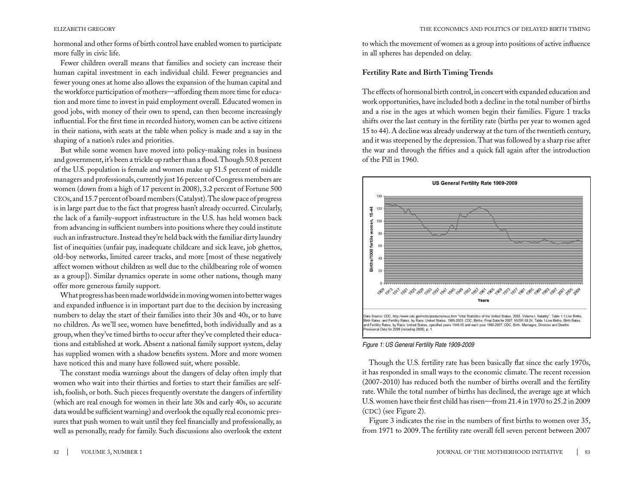hormonal and other forms of birth control have enabled women to participate more fully in civic life.

Fewer children overall means that families and society can increase their human capital investment in each individual child. Fewer pregnancies and fewer young ones at home also allows the expansion of the human capital and the workforce participation of mothers—affording them more time for education and more time to invest in paid employment overall. Educated women in good jobs, with money of their own to spend, can then become increasingly influential. For the first time in recorded history, women can be active citizens in their nations, with seats at the table when policy is made and a say in the shaping of a nation's rules and priorities.

But while some women have moved into policy-making roles in business and government, it's been a trickle up rather than a flood. Though 50.8 percent of the U.S. population is female and women make up 51.5 percent of middle managers and professionals, currently just 16 percent of Congress members are women (down from a high of 17 percent in 2008), 3.2 percent of Fortune 500 ceos, and 15.7 percent of board members (Catalyst). The slow pace of progress is in large part due to the fact that progress hasn't already occurred. Circularly, the lack of a family-support infrastructure in the U.S. has held women back from advancing in sufficient numbers into positions where they could institute such an infrastructure. Instead they're held back with the familiar dirty laundry list of inequities (unfair pay, inadequate childcare and sick leave, job ghettos, old-boy networks, limited career tracks, and more [most of these negatively affect women without children as well due to the childbearing role of women as a group]). Similar dynamics operate in some other nations, though many offer more generous family support.

What progress has been made worldwide in moving women into better wages and expanded influence is in important part due to the decision by increasing numbers to delay the start of their families into their 30s and 40s, or to have no children. As we'll see, women have benefitted, both individually and as a group, when they've timed births to occur after they've completed their educations and established at work. Absent a national family support system, delay has supplied women with a shadow benefits system. More and more women have noticed this and many have followed suit, where possible.

The constant media warnings about the dangers of delay often imply that women who wait into their thirties and forties to start their families are selfish, foolish, or both. Such pieces frequently overstate the dangers of infertility (which are real enough for women in their late 30s and early 40s, so accurate data would be sufficient warning) and overlook the equally real economic pressures that push women to wait until they feel financially and professionally, as well as personally, ready for family. Such discussions also overlook the extent

to which the movement of women as a group into positions of active influence in all spheres has depended on delay.

### **Fertility Rate and Birth Timing Trends**

The effects of hormonal birth control, in concert with expanded education and work opportunities, have included both a decline in the total number of births and a rise in the ages at which women begin their families. Figure 1 tracks shifts over the last century in the fertility rate (births per year to women aged 15 to 44). A decline was already underway at the turn of the twentieth century, and it was steepened by the depression. That was followed by a sharp rise after the war and through the fifties and a quick fall again after the introduction of the Pill in 1960.



#### *Figure 1: US General Fertility Rate 1909-2009*

Though the U.S. fertility rate has been basically flat since the early 1970s, it has responded in small ways to the economic climate. The recent recession (2007-2010) has reduced both the number of births overall and the fertility rate. While the total number of births has declined, the average age at which U.S. women have their first child has risen—from 21.4 in 1970 to 25.2 in 2009  $(CDC)$  (see Figure 2).

Figure 3 indicates the rise in the numbers of first births to women over 35, from 1971 to 2009. The fertility rate overall fell seven percent between 2007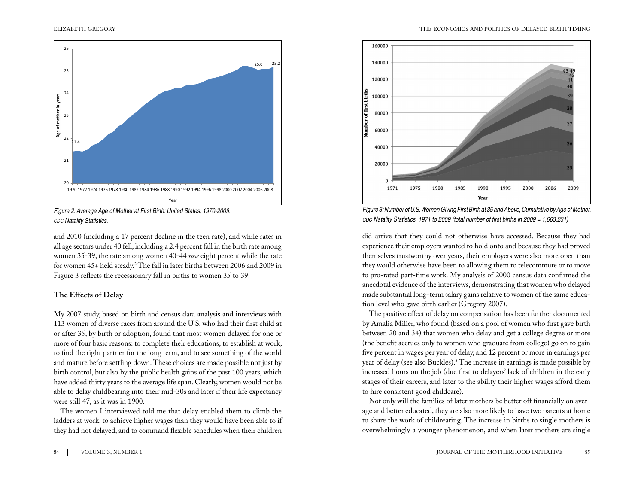

*Figure 2. Average Age of Mother at First Birth: United States, 1970-2009. cdc Natality Statistics.*

and 2010 (including a 17 percent decline in the teen rate), and while rates in all age sectors under 40 fell, including a 2.4 percent fall in the birth rate among women 35-39, the rate among women 40-44 *rose* eight percent while the rate for women 45+ held steady.2 The fall in later births between 2006 and 2009 in Figure 3 reflects the recessionary fall in births to women 35 to 39.

#### **The Effects of Delay**

My 2007 study, based on birth and census data analysis and interviews with 113 women of diverse races from around the U.S. who had their first child at or after 35, by birth or adoption, found that most women delayed for one or more of four basic reasons: to complete their educations, to establish at work, to find the right partner for the long term, and to see something of the world and mature before settling down. These choices are made possible not just by birth control, but also by the public health gains of the past 100 years, which have added thirty years to the average life span. Clearly, women would not be able to delay childbearing into their mid-30s and later if their life expectancy were still 47, as it was in 1900.

The women I interviewed told me that delay enabled them to climb the ladders at work, to achieve higher wages than they would have been able to if they had not delayed, and to command flexible schedules when their children



*Figure 3: Number of U.S. Women Giving First Birth at 35 and Above, Cumulative by Age of Mother. cdc Natality Statistics, 1971 to 2009 (total number of first births in 2009 = 1,663,231)*

did arrive that they could not otherwise have accessed. Because they had experience their employers wanted to hold onto and because they had proved themselves trustworthy over years, their employers were also more open than they would otherwise have been to allowing them to telecommute or to move to pro-rated part-time work. My analysis of 2000 census data confirmed the anecdotal evidence of the interviews, demonstrating that women who delayed made substantial long-term salary gains relative to women of the same education level who gave birth earlier (Gregory 2007).

The positive effect of delay on compensation has been further documented by Amalia Miller, who found (based on a pool of women who first gave birth between 20 and 34) that women who delay and get a college degree or more (the benefit accrues only to women who graduate from college) go on to gain five percent in wages per year of delay, and 12 percent or more in earnings per year of delay (see also Buckles).3 The increase in earnings is made possible by increased hours on the job (due first to delayers' lack of children in the early stages of their careers, and later to the ability their higher wages afford them to hire consistent good childcare).

Not only will the families of later mothers be better off financially on average and better educated, they are also more likely to have two parents at home to share the work of childrearing. The increase in births to single mothers is overwhelmingly a younger phenomenon, and when later mothers are single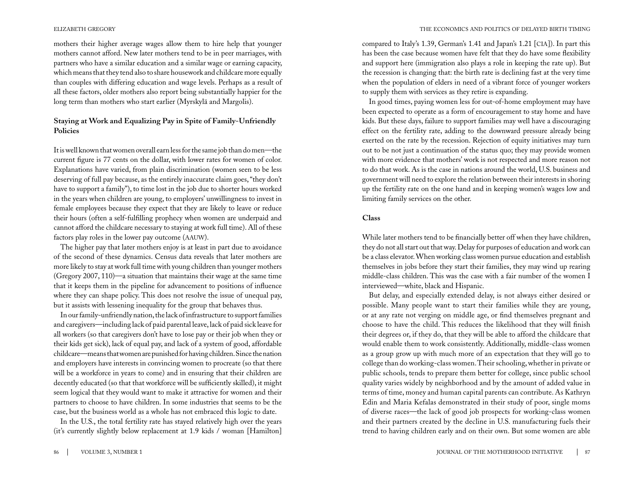mothers their higher average wages allow them to hire help that younger mothers cannot afford. New later mothers tend to be in peer marriages, with partners who have a similar education and a similar wage or earning capacity, which means that they tend also to share housework and childcare more equally than couples with differing education and wage levels. Perhaps as a result of all these factors, older mothers also report being substantially happier for the long term than mothers who start earlier (Myrskylä and Margolis).

# **Staying at Work and Equalizing Pay in Spite of Family-Unfriendly Policies**

It is well known that women overall earn less for the same job than do men—the current figure is 77 cents on the dollar, with lower rates for women of color. Explanations have varied, from plain discrimination (women seen to be less deserving of full pay because, as the entirely inaccurate claim goes, "they don't have to support a family"), to time lost in the job due to shorter hours worked in the years when children are young, to employers' unwillingness to invest in female employees because they expect that they are likely to leave or reduce their hours (often a self-fulfilling prophecy when women are underpaid and cannot afford the childcare necessary to staying at work full time). All of these factors play roles in the lower pay outcome (AAUW).

The higher pay that later mothers enjoy is at least in part due to avoidance of the second of these dynamics. Census data reveals that later mothers are more likely to stay at work full time with young children than younger mothers (Gregory 2007, 110)—a situation that maintains their wage at the same time that it keeps them in the pipeline for advancement to positions of influence where they can shape policy. This does not resolve the issue of unequal pay, but it assists with lessening inequality for the group that behaves thus.

In our family-unfriendly nation, the lack of infrastructure to support families and caregivers—including lack of paid parental leave, lack of paid sick leave for all workers (so that caregivers don't have to lose pay or their job when they or their kids get sick), lack of equal pay, and lack of a system of good, affordable childcare—means that women are punished for having children. Since the nation and employers have interests in convincing women to procreate (so that there will be a workforce in years to come) and in ensuring that their children are decently educated (so that that workforce will be sufficiently skilled), it might seem logical that they would want to make it attractive for women and their partners to choose to have children. In some industries that seems to be the case, but the business world as a whole has not embraced this logic to date.

In the U.S., the total fertility rate has stayed relatively high over the years (it's currently slightly below replacement at 1.9 kids / woman [Hamilton]

compared to Italy's 1.39, German's 1.41 and Japan's 1.21 [cia]). In part this has been the case because women have felt that they do have some flexibility and support here (immigration also plays a role in keeping the rate up). But the recession is changing that: the birth rate is declining fast at the very time when the population of elders in need of a vibrant force of younger workers to supply them with services as they retire is expanding.

In good times, paying women less for out-of-home employment may have been expected to operate as a form of encouragement to stay home and have kids. But these days, failure to support families may well have a discouraging effect on the fertility rate, adding to the downward pressure already being exerted on the rate by the recession. Rejection of equity initiatives may turn out to be not just a continuation of the status quo; they may provide women with more evidence that mothers' work is not respected and more reason not to do that work. As is the case in nations around the world, U.S. business and government will need to explore the relation between their interests in shoring up the fertility rate on the one hand and in keeping women's wages low and limiting family services on the other.

#### **Class**

While later mothers tend to be financially better off when they have children, they do not all start out that way. Delay for purposes of education and work can be a class elevator. When working class women pursue education and establish themselves in jobs before they start their families, they may wind up rearing middle-class children. This was the case with a fair number of the women I interviewed—white, black and Hispanic.

But delay, and especially extended delay, is not always either desired or possible. Many people want to start their families while they are young, or at any rate not verging on middle age, or find themselves pregnant and choose to have the child. This reduces the likelihood that they will finish their degrees or, if they do, that they will be able to afford the childcare that would enable them to work consistently. Additionally, middle-class women as a group grow up with much more of an expectation that they will go to college than do working-class women. Their schooling, whether in private or public schools, tends to prepare them better for college, since public school quality varies widely by neighborhood and by the amount of added value in terms of time, money and human capital parents can contribute. As Kathryn Edin and Maria Kefalas demonstrated in their study of poor, single moms of diverse races—the lack of good job prospects for working-class women and their partners created by the decline in U.S. manufacturing fuels their trend to having children early and on their own. But some women are able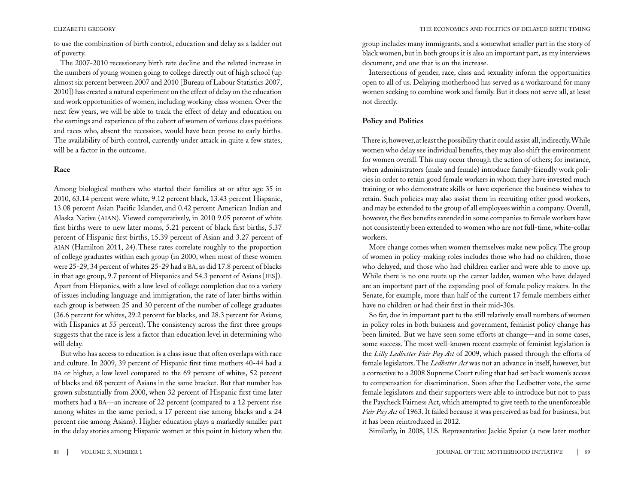to use the combination of birth control, education and delay as a ladder out of poverty.

The 2007-2010 recessionary birth rate decline and the related increase in the numbers of young women going to college directly out of high school (up almost six percent between 2007 and 2010 [Bureau of Labour Statistics 2007, 2010]) has created a natural experiment on the effect of delay on the education and work opportunities of women, including working-class women. Over the next few years, we will be able to track the effect of delay and education on the earnings and experience of the cohort of women of various class positions and races who, absent the recession, would have been prone to early births. The availability of birth control, currently under attack in quite a few states, will be a factor in the outcome.

### **Race**

Among biological mothers who started their families at or after age 35 in 2010, 63.14 percent were white, 9.12 percent black, 13.43 percent Hispanic, 13.08 percent Asian Pacific Islander, and 0.42 percent American Indian and Alaska Native (AIAN). Viewed comparatively, in 2010 9.05 percent of white first births were to new later moms, 5.21 percent of black first births, 5.37 percent of Hispanic first births, 15.39 percent of Asian and 3.27 percent of aian (Hamilton 2011, 24).These rates correlate roughly to the proportion of college graduates within each group (in 2000, when most of these women were 25-29, 34 percent of whites 25-29 had a ba, as did 17.8 percent of blacks in that age group, 9.7 percent of Hispanics and 54.3 percent of Asians [IES]). Apart from Hispanics, with a low level of college completion due to a variety of issues including language and immigration, the rate of later births within each group is between 25 and 30 percent of the number of college graduates (26.6 percent for whites, 29.2 percent for blacks, and 28.3 percent for Asians; with Hispanics at 55 percent). The consistency across the first three groups suggests that the race is less a factor than education level in determining who will delay.

But who has access to education is a class issue that often overlaps with race and culture. In 2009, 39 percent of Hispanic first time mothers 40-44 had a ba or higher, a low level compared to the 69 percent of whites, 52 percent of blacks and 68 percent of Asians in the same bracket. But that number has grown substantially from 2000, when 32 percent of Hispanic first time later mothers had a ba—an increase of 22 percent (compared to a 12 percent rise among whites in the same period, a 17 percent rise among blacks and a 24 percent rise among Asians). Higher education plays a markedly smaller part in the delay stories among Hispanic women at this point in history when the group includes many immigrants, and a somewhat smaller part in the story of black women, but in both groups it is also an important part, as my interviews document, and one that is on the increase.

Intersections of gender, race, class and sexuality inform the opportunities open to all of us. Delaying motherhood has served as a workaround for many women seeking to combine work and family. But it does not serve all, at least not directly.

## **Policy and Politics**

There is, however, at least the possibility that it could assist all, indirectly. While women who delay see individual benefits, they may also shift the environment for women overall. This may occur through the action of others; for instance, when administrators (male and female) introduce family-friendly work policies in order to retain good female workers in whom they have invested much training or who demonstrate skills or have experience the business wishes to retain. Such policies may also assist them in recruiting other good workers, and may be extended to the group of all employees within a company. Overall, however, the flex benefits extended in some companies to female workers have not consistently been extended to women who are not full-time, white-collar workers.

More change comes when women themselves make new policy. The group of women in policy-making roles includes those who had no children, those who delayed, and those who had children earlier and were able to move up. While there is no one route up the career ladder, women who have delayed are an important part of the expanding pool of female policy makers. In the Senate, for example, more than half of the current 17 female members either have no children or had their first in their mid-30s.

So far, due in important part to the still relatively small numbers of women in policy roles in both business and government, feminist policy change has been limited. But we have seen some efforts at change—and in some cases, some success. The most well-known recent example of feminist legislation is the *Lilly Ledbetter Fair Pay Act* of 2009, which passed through the efforts of female legislators. The *Ledbetter Act* was not an advance in itself, however, but a corrective to a 2008 Supreme Court ruling that had set back women's access to compensation for discrimination. Soon after the Ledbetter vote, the same female legislators and their supporters were able to introduce but not to pass the Paycheck Fairness Act, which attempted to give teeth to the unenforceable *Fair Pay Act* of 1963. It failed because it was perceived as bad for business, but it has been reintroduced in 2012.

Similarly, in 2008, U.S. Representative Jackie Speier (a new later mother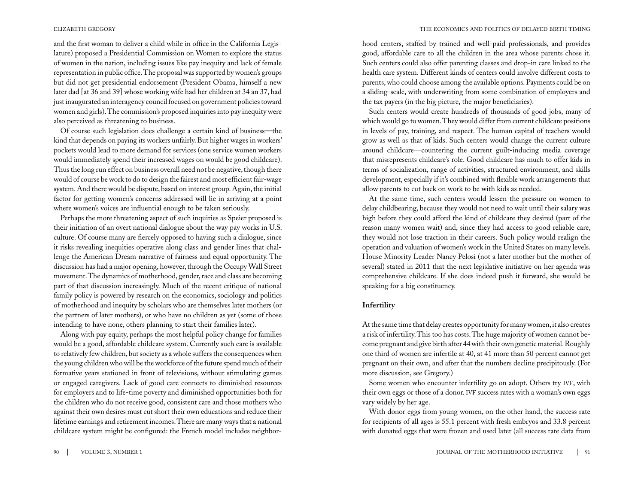and the first woman to deliver a child while in office in the California Legislature) proposed a Presidential Commission on Women to explore the status of women in the nation, including issues like pay inequity and lack of female representation in public office. The proposal was supported by women's groups but did not get presidential endorsement (President Obama, himself a new later dad [at 36 and 39] whose working wife had her children at 34 an 37, had just inaugurated an interagency council focused on government policies toward women and girls). The commission's proposed inquiries into pay inequity were also perceived as threatening to business.

Of course such legislation does challenge a certain kind of business—the kind that depends on paying its workers unfairly. But higher wages in workers' pockets would lead to more demand for services (one service women workers would immediately spend their increased wages on would be good childcare). Thus the long run effect on business overall need not be negative, though there would of course be work to do to design the fairest and most efficient fair-wage system. And there would be dispute, based on interest group. Again, the initial factor for getting women's concerns addressed will lie in arriving at a point where women's voices are influential enough to be taken seriously.

Perhaps the more threatening aspect of such inquiries as Speier proposed is their initiation of an overt national dialogue about the way pay works in U.S. culture. Of course many are fiercely opposed to having such a dialogue, since it risks revealing inequities operative along class and gender lines that challenge the American Dream narrative of fairness and equal opportunity. The discussion has had a major opening, however, through the Occupy Wall Street movement. The dynamics of motherhood, gender, race and class are becoming part of that discussion increasingly. Much of the recent critique of national family policy is powered by research on the economics, sociology and politics of motherhood and inequity by scholars who are themselves later mothers (or the partners of later mothers), or who have no children as yet (some of those intending to have none, others planning to start their families later).

Along with pay equity, perhaps the most helpful policy change for families would be a good, affordable childcare system. Currently such care is available to relatively few children, but society as a whole suffers the consequences when the young children who will be the workforce of the future spend much of their formative years stationed in front of televisions, without stimulating games or engaged caregivers. Lack of good care connects to diminished resources for employers and to life-time poverty and diminished opportunities both for the children who do not receive good, consistent care and those mothers who against their own desires must cut short their own educations and reduce their lifetime earnings and retirement incomes. There are many ways that a national childcare system might be configured: the French model includes neighbor-

hood centers, staffed by trained and well-paid professionals, and provides good, affordable care to all the children in the area whose parents chose it. Such centers could also offer parenting classes and drop-in care linked to the health care system. Different kinds of centers could involve different costs to parents, who could choose among the available options. Payments could be on a sliding-scale, with underwriting from some combination of employers and the tax payers (in the big picture, the major beneficiaries).

Such centers would create hundreds of thousands of good jobs, many of which would go to women. They would differ from current childcare positions in levels of pay, training, and respect. The human capital of teachers would grow as well as that of kids. Such centers would change the current culture around childcare—countering the current guilt-inducing media coverage that misrepresents childcare's role. Good childcare has much to offer kids in terms of socialization, range of activities, structured environment, and skills development, especially if it's combined with flexible work arrangements that allow parents to cut back on work to be with kids as needed.

At the same time, such centers would lessen the pressure on women to delay childbearing, because they would not need to wait until their salary was high before they could afford the kind of childcare they desired (part of the reason many women wait) and, since they had access to good reliable care, they would not lose traction in their careers. Such policy would realign the operation and valuation of women's work in the United States on many levels. House Minority Leader Nancy Pelosi (not a later mother but the mother of several) stated in 2011 that the next legislative initiative on her agenda was comprehensive childcare. If she does indeed push it forward, she would be speaking for a big constituency.

#### **Infertility**

At the same time that delay creates opportunity for many women, it also creates a risk of infertility. This too has costs. The huge majority of women cannot become pregnant and give birth after 44 with their own genetic material. Roughly one third of women are infertile at 40, at 41 more than 50 percent cannot get pregnant on their own, and after that the numbers decline precipitously. (For more discussion, see Gregory.)

Some women who encounter infertility go on adopt. Others try IVF, with their own eggs or those of a donor. IVF success rates with a woman's own eggs vary widely by her age.

With donor eggs from young women, on the other hand, the success rate for recipients of all ages is 55.1 percent with fresh embryos and 33.8 percent with donated eggs that were frozen and used later (all success rate data from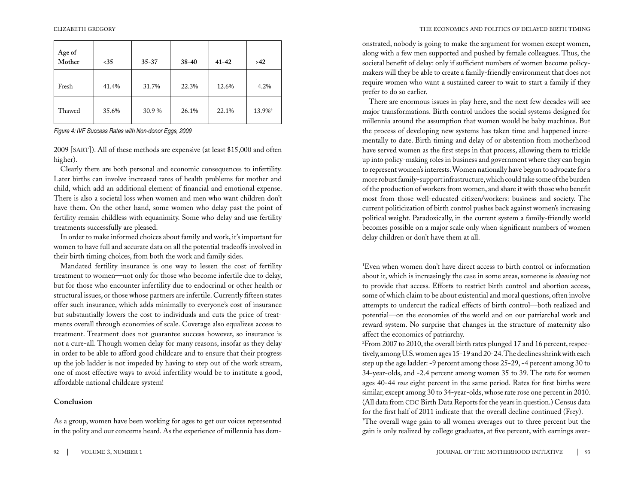| Age of<br>Mother | $35$  | $35 - 37$ | 38-40 | $41 - 42$ | >42                |
|------------------|-------|-----------|-------|-----------|--------------------|
| Fresh            | 41.4% | 31.7%     | 22.3% | 12.6%     | 4.2%               |
| Thawed           | 35.6% | 30.9%     | 26.1% | 22.1%     | 13.9% <sup>4</sup> |

*Figure 4: IVF Success Rates with Non-donor Eggs, 2009*

2009 [sart]). All of these methods are expensive (at least \$15,000 and often higher).

Clearly there are both personal and economic consequences to infertility. Later births can involve increased rates of health problems for mother and child, which add an additional element of financial and emotional expense. There is also a societal loss when women and men who want children don't have them. On the other hand, some women who delay past the point of fertility remain childless with equanimity. Some who delay and use fertility treatments successfully are pleased.

In order to make informed choices about family and work, it's important for women to have full and accurate data on all the potential tradeoffs involved in their birth timing choices, from both the work and family sides.

Mandated fertility insurance is one way to lessen the cost of fertility treatment to women—not only for those who become infertile due to delay, but for those who encounter infertility due to endocrinal or other health or structural issues, or those whose partners are infertile. Currently fifteen states offer such insurance, which adds minimally to everyone's cost of insurance but substantially lowers the cost to individuals and cuts the price of treatments overall through economies of scale. Coverage also equalizes access to treatment. Treatment does not guarantee success however, so insurance is not a cure-all. Though women delay for many reasons, insofar as they delay in order to be able to afford good childcare and to ensure that their progress up the job ladder is not impeded by having to step out of the work stream, one of most effective ways to avoid infertility would be to institute a good, affordable national childcare system!

### **Conclusion**

As a group, women have been working for ages to get our voices represented in the polity and our concerns heard. As the experience of millennia has dem-

onstrated, nobody is going to make the argument for women except women, along with a few men supported and pushed by female colleagues. Thus, the societal benefit of delay: only if sufficient numbers of women become policymakers will they be able to create a family-friendly environment that does not require women who want a sustained career to wait to start a family if they prefer to do so earlier.

There are enormous issues in play here, and the next few decades will see major transformations. Birth control undoes the social systems designed for millennia around the assumption that women would be baby machines. But the process of developing new systems has taken time and happened incrementally to date. Birth timing and delay of or abstention from motherhood have served women as the first steps in that process, allowing them to trickle up into policy-making roles in business and government where they can begin to represent women's interests. Women nationally have begun to advocate for a more robust family-support infrastructure, which could take some of the burden of the production of workers from women, and share it with those who benefit most from those well-educated citizen/workers: business and society. The current politicization of birth control pushes back against women's increasing political weight. Paradoxically, in the current system a family-friendly world becomes possible on a major scale only when significant numbers of women delay children or don't have them at all.

1 Even when women don't have direct access to birth control or information about it, which is increasingly the case in some areas, someone is *choosing* not to provide that access. Efforts to restrict birth control and abortion access, some of which claim to be about existential and moral questions, often involve attempts to undercut the radical effects of birth control—both realized and potential—on the economies of the world and on our patriarchal work and reward system. No surprise that changes in the structure of maternity also affect the economics of patriarchy.

 $^{2}$ From 2007 to 2010, the overall birth rates plunged 17 and 16 percent, respectively, among U.S. women ages 15-19 and 20-24. The declines shrink with each step up the age ladder: -9 percent among those 25-29, -4 percent among 30 to 34-year-olds, and -2.4 percent among women 35 to 39. The rate for women ages 40-44 *rose* eight percent in the same period. Rates for first births were similar, except among 30 to 34-year-olds, whose rate rose one percent in 2010. (All data from CDC Birth Data Reports for the years in question.) Census data for the first half of 2011 indicate that the overall decline continued (Frey). <sup>3</sup>The overall wage gain to all women averages out to three percent but the gain is only realized by college graduates, at five percent, with earnings aver-